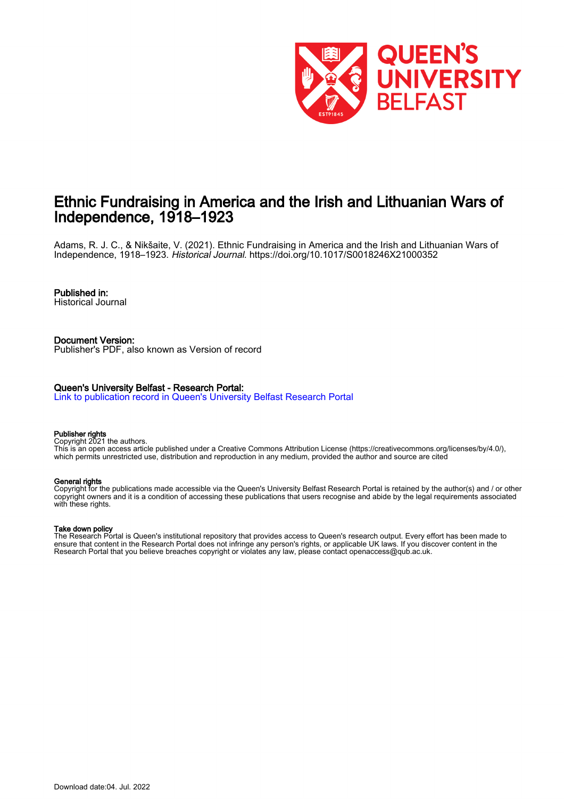

# Ethnic Fundraising in America and the Irish and Lithuanian Wars of Independence, 1918–1923

Adams, R. J. C., & Nikšaite, V. (2021). Ethnic Fundraising in America and the Irish and Lithuanian Wars of Independence, 1918–1923. Historical Journal.<https://doi.org/10.1017/S0018246X21000352>

## Published in:

Historical Journal

Document Version: Publisher's PDF, also known as Version of record

### Queen's University Belfast - Research Portal:

[Link to publication record in Queen's University Belfast Research Portal](https://pure.qub.ac.uk/en/publications/2a48888f-e207-45c9-9992-dcb95fd3e964)

#### Publisher rights

Copyright 2021 the authors.

This is an open access article published under a Creative Commons Attribution License (https://creativecommons.org/licenses/by/4.0/), which permits unrestricted use, distribution and reproduction in any medium, provided the author and source are cited

#### General rights

Copyright for the publications made accessible via the Queen's University Belfast Research Portal is retained by the author(s) and / or other copyright owners and it is a condition of accessing these publications that users recognise and abide by the legal requirements associated with these rights.

### Take down policy

The Research Portal is Queen's institutional repository that provides access to Queen's research output. Every effort has been made to ensure that content in the Research Portal does not infringe any person's rights, or applicable UK laws. If you discover content in the Research Portal that you believe breaches copyright or violates any law, please contact openaccess@qub.ac.uk.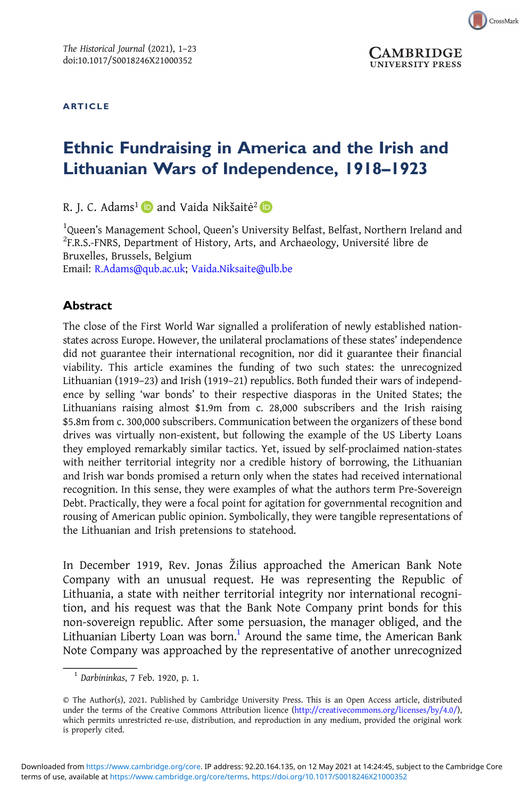ARTICLE



CrossMark

## Ethnic Fundraising in America and the Irish and Lithuanian Wars of Independence, 1918–1923

R. J. C. Adams<sup>1</sup> and Vaida Nikšaitė<sup>2</sup> D

<sup>1</sup>Queen's Management School, Queen's University Belfast, Belfast, Northern Ireland and<br><sup>2</sup>E B S -ENBS, Denartment of History, Arts, and Archaeology, Université libre de <sup>2</sup>F.R.S.-FNRS, Department of History, Arts, and Archaeology, Université libre de Bruxelles, Brussels, Belgium Email: [R.Adams@qub.ac.uk;](mailto:R.Adams@qub.ac.uk) [Vaida.Niksaite@ulb.be](mailto:Vaida.Niksaite@ulb.be)

## Abstract

The close of the First World War signalled a proliferation of newly established nationstates across Europe. However, the unilateral proclamations of these states' independence did not guarantee their international recognition, nor did it guarantee their financial viability. This article examines the funding of two such states: the unrecognized Lithuanian (1919–23) and Irish (1919–21) republics. Both funded their wars of independence by selling 'war bonds' to their respective diasporas in the United States; the Lithuanians raising almost \$1.9m from c. 28,000 subscribers and the Irish raising \$5.8m from c. 300,000 subscribers. Communication between the organizers of these bond drives was virtually non-existent, but following the example of the US Liberty Loans they employed remarkably similar tactics. Yet, issued by self-proclaimed nation-states with neither territorial integrity nor a credible history of borrowing, the Lithuanian and Irish war bonds promised a return only when the states had received international recognition. In this sense, they were examples of what the authors term Pre-Sovereign Debt. Practically, they were a focal point for agitation for governmental recognition and rousing of American public opinion. Symbolically, they were tangible representations of the Lithuanian and Irish pretensions to statehood.

In December 1919, Rev. Jonas Žilius approached the American Bank Note Company with an unusual request. He was representing the Republic of Lithuania, a state with neither territorial integrity nor international recognition, and his request was that the Bank Note Company print bonds for this non-sovereign republic. After some persuasion, the manager obliged, and the Lithuanian Liberty Loan was born.<sup>1</sup> Around the same time, the American Bank Note Company was approached by the representative of another unrecognized

 $<sup>1</sup>$  Darbininkas, 7 Feb. 1920, p. 1.</sup>

<sup>©</sup> The Author(s), 2021. Published by Cambridge University Press. This is an Open Access article, distributed under the terms of the Creative Commons Attribution licence [\(http://creativecommons.org/licenses/by/4.0/](http://creativecommons.org/licenses/by/4.0/)), which permits unrestricted re-use, distribution, and reproduction in any medium, provided the original work is properly cited.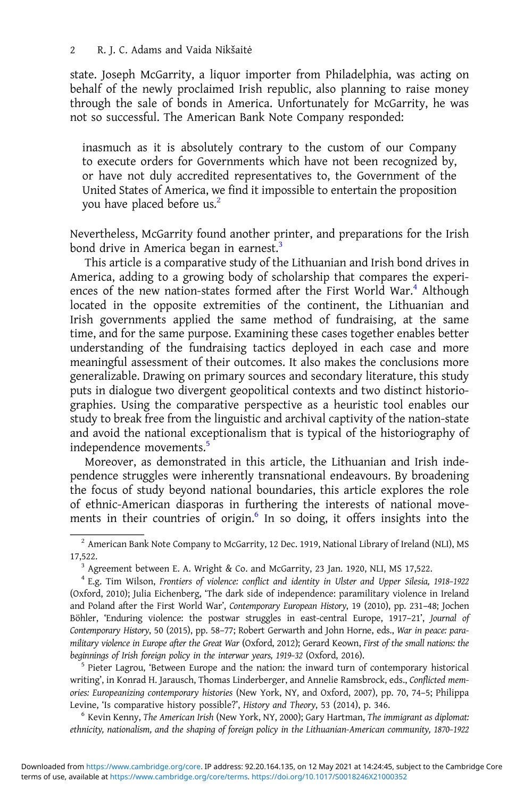state. Joseph McGarrity, a liquor importer from Philadelphia, was acting on behalf of the newly proclaimed Irish republic, also planning to raise money through the sale of bonds in America. Unfortunately for McGarrity, he was not so successful. The American Bank Note Company responded:

inasmuch as it is absolutely contrary to the custom of our Company to execute orders for Governments which have not been recognized by, or have not duly accredited representatives to, the Government of the United States of America, we find it impossible to entertain the proposition you have placed before us.<sup>2</sup>

Nevertheless, McGarrity found another printer, and preparations for the Irish bond drive in America began in earnest.<sup>3</sup>

This article is a comparative study of the Lithuanian and Irish bond drives in America, adding to a growing body of scholarship that compares the experiences of the new nation-states formed after the First World War.<sup>4</sup> Although located in the opposite extremities of the continent, the Lithuanian and Irish governments applied the same method of fundraising, at the same time, and for the same purpose. Examining these cases together enables better understanding of the fundraising tactics deployed in each case and more meaningful assessment of their outcomes. It also makes the conclusions more generalizable. Drawing on primary sources and secondary literature, this study puts in dialogue two divergent geopolitical contexts and two distinct historiographies. Using the comparative perspective as a heuristic tool enables our study to break free from the linguistic and archival captivity of the nation-state and avoid the national exceptionalism that is typical of the historiography of independence movements.<sup>5</sup>

Moreover, as demonstrated in this article, the Lithuanian and Irish independence struggles were inherently transnational endeavours. By broadening the focus of study beyond national boundaries, this article explores the role of ethnic-American diasporas in furthering the interests of national movements in their countries of origin.<sup>6</sup> In so doing, it offers insights into the

writing', in Konrad H. Jarausch, Thomas Linderberger, and Annelie Ramsbrock, eds., Conflicted memories: Europeanizing contemporary histories (New York, NY, and Oxford, 2007), pp. 70, 74–5; Philippa Levine, 'Is comparative history possible?', History and Theory, 53 (2014), p. 346.<br><sup>6</sup> Kevin Kenny, The American Irish (New York, NY, 2000); Gary Hartman, The immigrant as diplomat:

ethnicity, nationalism, and the shaping of foreign policy in the Lithuanian-American community, 1870–1922

 $^2$  American Bank Note Company to McGarrity, 12 Dec. 1919, National Library of Ireland (NLI), MS 17,522. <sup>3</sup> Agreement between E. A. Wright & Co. and McGarrity, 23 Jan. 1920, NLI, MS 17,522.

<sup>4</sup> E.g. Tim Wilson, Frontiers of violence: conflict and identity in Ulster and Upper Silesia, 1918–1922 (Oxford, 2010); Julia Eichenberg, 'The dark side of independence: paramilitary violence in Ireland and Poland after the First World War', Contemporary European History, 19 (2010), pp. 231–48; Jochen Böhler, 'Enduring violence: the postwar struggles in east-central Europe, 1917–21', Journal of Contemporary History, 50 (2015), pp. 58–77; Robert Gerwarth and John Horne, eds., War in peace: paramilitary violence in Europe after the Great War (Oxford, 2012); Gerard Keown, First of the small nations: the beginnings of Irish foreign policy in the interwar years, 1919-32 (Oxford, 2016).<br><sup>5</sup> Pieter Lagrou, 'Between Europe and the nation: the inward turn of contemporary historical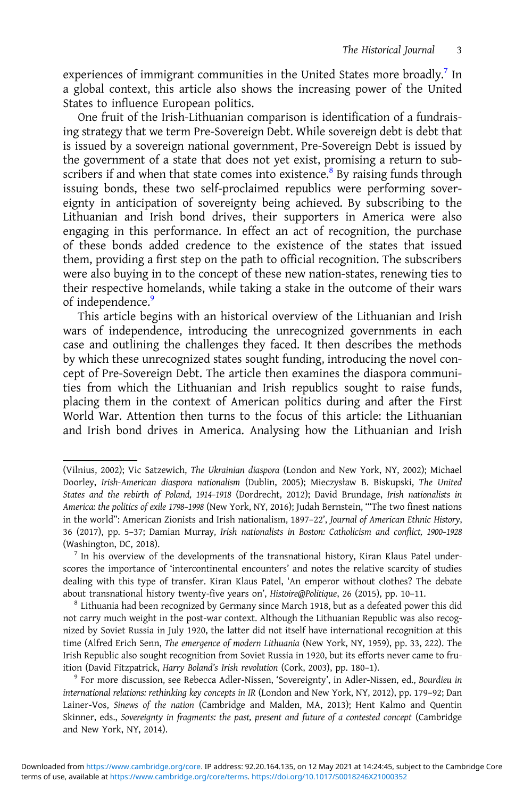experiences of immigrant communities in the United States more broadly.<sup>7</sup> In a global context, this article also shows the increasing power of the United States to influence European politics.

One fruit of the Irish-Lithuanian comparison is identification of a fundraising strategy that we term Pre-Sovereign Debt. While sovereign debt is debt that is issued by a sovereign national government, Pre-Sovereign Debt is issued by the government of a state that does not yet exist, promising a return to subscribers if and when that state comes into existence.<sup>8</sup> By raising funds through issuing bonds, these two self-proclaimed republics were performing sovereignty in anticipation of sovereignty being achieved. By subscribing to the Lithuanian and Irish bond drives, their supporters in America were also engaging in this performance. In effect an act of recognition, the purchase of these bonds added credence to the existence of the states that issued them, providing a first step on the path to official recognition. The subscribers were also buying in to the concept of these new nation-states, renewing ties to their respective homelands, while taking a stake in the outcome of their wars of independence.<sup>9</sup>

This article begins with an historical overview of the Lithuanian and Irish wars of independence, introducing the unrecognized governments in each case and outlining the challenges they faced. It then describes the methods by which these unrecognized states sought funding, introducing the novel concept of Pre-Sovereign Debt. The article then examines the diaspora communities from which the Lithuanian and Irish republics sought to raise funds, placing them in the context of American politics during and after the First World War. Attention then turns to the focus of this article: the Lithuanian and Irish bond drives in America. Analysing how the Lithuanian and Irish

international relations: rethinking key concepts in IR (London and New York, NY, 2012), pp. 179–92; Dan Lainer-Vos, Sinews of the nation (Cambridge and Malden, MA, 2013); Hent Kalmo and Quentin Skinner, eds., Sovereignty in fragments: the past, present and future of a contested concept (Cambridge and New York, NY, 2014).

<sup>(</sup>Vilnius, 2002); Vic Satzewich, The Ukrainian diaspora (London and New York, NY, 2002); Michael Doorley, Irish-American diaspora nationalism (Dublin, 2005); Mieczysław B. Biskupski, The United States and the rebirth of Poland, 1914–1918 (Dordrecht, 2012); David Brundage, Irish nationalists in America: the politics of exile 1798–1998 (New York, NY, 2016); Judah Bernstein, '"The two finest nations in the world": American Zionists and Irish nationalism, 1897–22', Journal of American Ethnic History, 36 (2017), pp. 5–37; Damian Murray, Irish nationalists in Boston: Catholicism and conflict, 1900–1928

 $\frac{7}{1}$  In his overview of the developments of the transnational history, Kiran Klaus Patel underscores the importance of 'intercontinental encounters' and notes the relative scarcity of studies dealing with this type of transfer. Kiran Klaus Patel, 'An emperor without clothes? The debate about transnational history twenty-five years on', Histoire@Politique, 26 (2015), pp. 10–11.<br><sup>8</sup> Lithuania had been recognized by Germany since March 1918, but as a defeated power this did

not carry much weight in the post-war context. Although the Lithuanian Republic was also recognized by Soviet Russia in July 1920, the latter did not itself have international recognition at this time (Alfred Erich Senn, The emergence of modern Lithuania (New York, NY, 1959), pp. 33, 222). The Irish Republic also sought recognition from Soviet Russia in 1920, but its efforts never came to fruition (David Fitzpatrick, Harry Boland's Irish revolution (Cork, 2003), pp. 180–1).<br><sup>9</sup> For more discussion, see Rebecca Adler-Nissen, 'Sovereignty', in Adler-Nissen, ed., Bourdieu in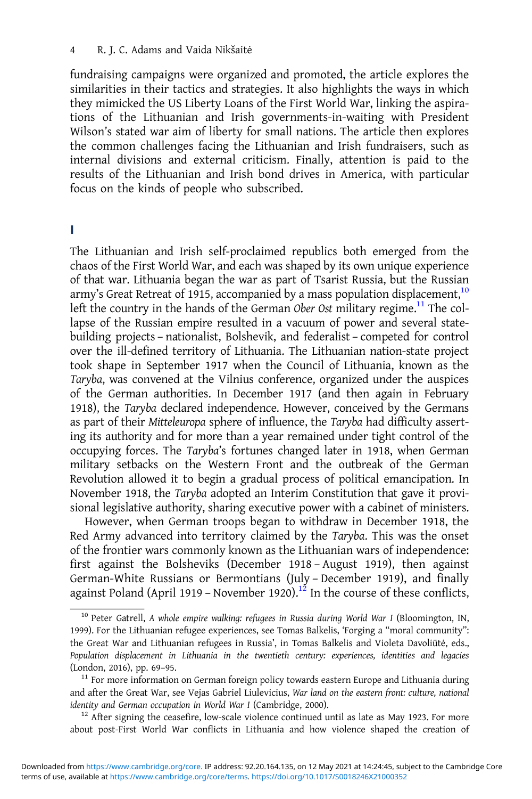fundraising campaigns were organized and promoted, the article explores the similarities in their tactics and strategies. It also highlights the ways in which they mimicked the US Liberty Loans of the First World War, linking the aspirations of the Lithuanian and Irish governments-in-waiting with President Wilson's stated war aim of liberty for small nations. The article then explores the common challenges facing the Lithuanian and Irish fundraisers, such as internal divisions and external criticism. Finally, attention is paid to the results of the Lithuanian and Irish bond drives in America, with particular focus on the kinds of people who subscribed.

#### I

The Lithuanian and Irish self-proclaimed republics both emerged from the chaos of the First World War, and each was shaped by its own unique experience of that war. Lithuania began the war as part of Tsarist Russia, but the Russian army's Great Retreat of 1915, accompanied by a mass population displacement,  $10$ left the country in the hands of the German Ober Ost military regime.<sup>11</sup> The collapse of the Russian empire resulted in a vacuum of power and several statebuilding projects – nationalist, Bolshevik, and federalist – competed for control over the ill-defined territory of Lithuania. The Lithuanian nation-state project took shape in September 1917 when the Council of Lithuania, known as the Taryba, was convened at the Vilnius conference, organized under the auspices of the German authorities. In December 1917 (and then again in February 1918), the Taryba declared independence. However, conceived by the Germans as part of their Mitteleuropa sphere of influence, the Taryba had difficulty asserting its authority and for more than a year remained under tight control of the occupying forces. The Taryba's fortunes changed later in 1918, when German military setbacks on the Western Front and the outbreak of the German Revolution allowed it to begin a gradual process of political emancipation. In November 1918, the Taryba adopted an Interim Constitution that gave it provisional legislative authority, sharing executive power with a cabinet of ministers.

However, when German troops began to withdraw in December 1918, the Red Army advanced into territory claimed by the Taryba. This was the onset of the frontier wars commonly known as the Lithuanian wars of independence: first against the Bolsheviks (December 1918 – August 1919), then against German-White Russians or Bermontians (July – December 1919), and finally against Poland (April 1919 – November 1920).<sup>12</sup> In the course of these conflicts,

about post-First World War conflicts in Lithuania and how violence shaped the creation of

<sup>&</sup>lt;sup>10</sup> Peter Gatrell, A whole empire walking: refugees in Russia during World War I (Bloomington, IN, 1999). For the Lithuanian refugee experiences, see Tomas Balkelis, 'Forging a "moral community": the Great War and Lithuanian refugees in Russia', in Tomas Balkelis and Violeta Davoliūtė, eds., Population displacement in Lithuania in the twentieth century: experiences, identities and legacies (London, 2016), pp. 69-95.<br><sup>11</sup> For more information on German foreign policy towards eastern Europe and Lithuania during

and after the Great War, see Vejas Gabriel Liulevicius, War land on the eastern front: culture, national identity and German occupation in World War I (Cambridge, 2000).<br><sup>12</sup> After signing the ceasefire, low-scale violence continued until as late as May 1923. For more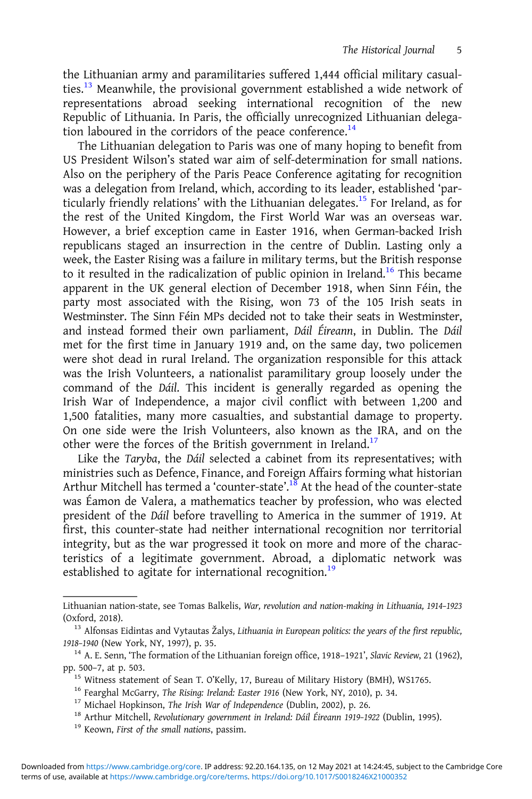the Lithuanian army and paramilitaries suffered 1,444 official military casualties. $^{13}$  Meanwhile, the provisional government established a wide network of representations abroad seeking international recognition of the new Republic of Lithuania. In Paris, the officially unrecognized Lithuanian delegation laboured in the corridors of the peace conference. $^{14}$ 

The Lithuanian delegation to Paris was one of many hoping to benefit from US President Wilson's stated war aim of self-determination for small nations. Also on the periphery of the Paris Peace Conference agitating for recognition was a delegation from Ireland, which, according to its leader, established 'particularly friendly relations' with the Lithuanian delegates.<sup>15</sup> For Ireland, as for the rest of the United Kingdom, the First World War was an overseas war. However, a brief exception came in Easter 1916, when German-backed Irish republicans staged an insurrection in the centre of Dublin. Lasting only a week, the Easter Rising was a failure in military terms, but the British response to it resulted in the radicalization of public opinion in Ireland.<sup>16</sup> This became apparent in the UK general election of December 1918, when Sinn Féin, the party most associated with the Rising, won 73 of the 105 Irish seats in Westminster. The Sinn Féin MPs decided not to take their seats in Westminster, and instead formed their own parliament, Dáil Éireann, in Dublin. The Dáil met for the first time in January 1919 and, on the same day, two policemen were shot dead in rural Ireland. The organization responsible for this attack was the Irish Volunteers, a nationalist paramilitary group loosely under the command of the Dáil. This incident is generally regarded as opening the Irish War of Independence, a major civil conflict with between 1,200 and 1,500 fatalities, many more casualties, and substantial damage to property. On one side were the Irish Volunteers, also known as the IRA, and on the other were the forces of the British government in Ireland.<sup>17</sup>

Like the Taryba, the Dáil selected a cabinet from its representatives; with ministries such as Defence, Finance, and Foreign Affairs forming what historian Arthur Mitchell has termed a 'counter-state'.<sup>18</sup> At the head of the counter-state was Éamon de Valera, a mathematics teacher by profession, who was elected president of the Dáil before travelling to America in the summer of 1919. At first, this counter-state had neither international recognition nor territorial integrity, but as the war progressed it took on more and more of the characteristics of a legitimate government. Abroad, a diplomatic network was established to agitate for international recognition.<sup>19</sup>

Lithuanian nation-state, see Tomas Balkelis, War, revolution and nation-making in Lithuania, 1914–1923

 $^{13}$  Alfonsas Eidintas and Vytautas Žalys, Lithuania in European politics: the years of the first republic, 1918–1940 (New York, NY, 1997), p. 35.<br><sup>14</sup> A. E. Senn, 'The formation of the Lithuanian foreign office, 1918–1921', Slavic Review, 21 (1962),

pp. 500–7, at p. 503.<br>
<sup>15</sup> Witness statement of Sean T. O'Kelly, 17, Bureau of Military History (BMH), WS1765.<br>
<sup>16</sup> Fearghal McGarry, *The Rising: Ireland: Easter 1916* (New York, NY, 2010), p. 34.<br>
<sup>17</sup> Michael Hopkins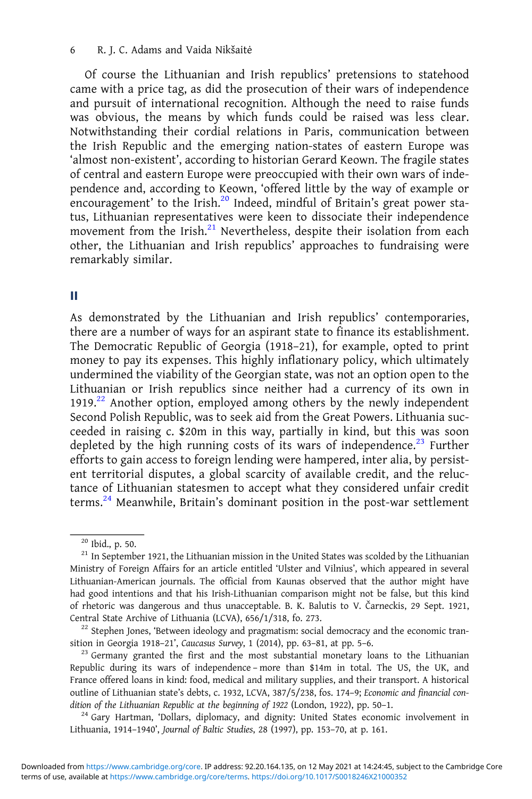Of course the Lithuanian and Irish republics' pretensions to statehood came with a price tag, as did the prosecution of their wars of independence and pursuit of international recognition. Although the need to raise funds was obvious, the means by which funds could be raised was less clear. Notwithstanding their cordial relations in Paris, communication between the Irish Republic and the emerging nation-states of eastern Europe was 'almost non-existent', according to historian Gerard Keown. The fragile states of central and eastern Europe were preoccupied with their own wars of independence and, according to Keown, 'offered little by the way of example or encouragement' to the Irish.<sup>20</sup> Indeed, mindful of Britain's great power status, Lithuanian representatives were keen to dissociate their independence movement from the Irish.<sup>21</sup> Nevertheless, despite their isolation from each other, the Lithuanian and Irish republics' approaches to fundraising were remarkably similar.

#### II

As demonstrated by the Lithuanian and Irish republics' contemporaries, there are a number of ways for an aspirant state to finance its establishment. The Democratic Republic of Georgia (1918–21), for example, opted to print money to pay its expenses. This highly inflationary policy, which ultimately undermined the viability of the Georgian state, was not an option open to the Lithuanian or Irish republics since neither had a currency of its own in 1919.<sup>22</sup> Another option, employed among others by the newly independent Second Polish Republic, was to seek aid from the Great Powers. Lithuania succeeded in raising c. \$20m in this way, partially in kind, but this was soon depleted by the high running costs of its wars of independence.<sup>23</sup> Further efforts to gain access to foreign lending were hampered, inter alia, by persistent territorial disputes, a global scarcity of available credit, and the reluctance of Lithuanian statesmen to accept what they considered unfair credit terms. $24$  Meanwhile, Britain's dominant position in the post-war settlement

Lithuania, 1914–1940', Journal of Baltic Studies, 28 (1997), pp. 153–70, at p. 161.

<sup>&</sup>lt;sup>20</sup> Ibid., p. 50.<br><sup>21</sup> In September 1921, the Lithuanian mission in the United States was scolded by the Lithuanian Ministry of Foreign Affairs for an article entitled 'Ulster and Vilnius', which appeared in several Lithuanian-American journals. The official from Kaunas observed that the author might have had good intentions and that his Irish-Lithuanian comparison might not be false, but this kind of rhetoric was dangerous and thus unacceptable. B. K. Balutis to V. Čarneckis, 29 Sept. 1921, Central State Archive of Lithuania (LCVA), 656/1/318, fo. 273.<br><sup>22</sup> Stephen Jones, 'Between ideology and pragmatism: social democracy and the economic tran-

sition in Georgia 1918–21', Caucasus Survey, 1 (2014), pp. 63–81, at pp. 5–6.<br><sup>23</sup> Germany granted the first and the most substantial monetary loans to the Lithuanian

Republic during its wars of independence – more than \$14m in total. The US, the UK, and France offered loans in kind: food, medical and military supplies, and their transport. A historical outline of Lithuanian state's debts, c. 1932, LCVA, 387/5/238, fos. 174–9; Economic and financial condition of the Lithuanian Republic at the beginning of 1922 (London, 1922), pp. 50–1.<br><sup>24</sup> Gary Hartman, 'Dollars, diplomacy, and dignity: United States economic involvement in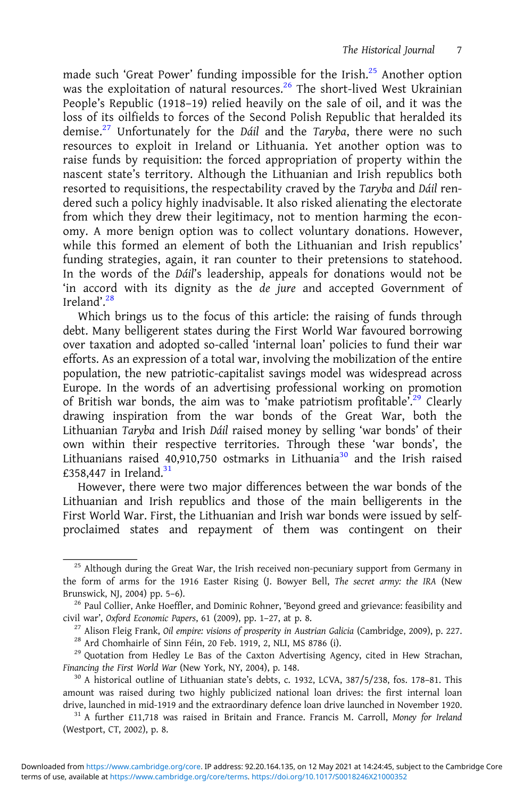made such 'Great Power' funding impossible for the Irish.<sup>25</sup> Another option was the exploitation of natural resources.<sup>26</sup> The short-lived West Ukrainian People's Republic (1918–19) relied heavily on the sale of oil, and it was the loss of its oilfields to forces of the Second Polish Republic that heralded its demise.<sup>27</sup> Unfortunately for the Dáil and the Taryba, there were no such resources to exploit in Ireland or Lithuania. Yet another option was to raise funds by requisition: the forced appropriation of property within the nascent state's territory. Although the Lithuanian and Irish republics both resorted to requisitions, the respectability craved by the Taryba and Dáil rendered such a policy highly inadvisable. It also risked alienating the electorate from which they drew their legitimacy, not to mention harming the economy. A more benign option was to collect voluntary donations. However, while this formed an element of both the Lithuanian and Irish republics' funding strategies, again, it ran counter to their pretensions to statehood. In the words of the Dáil's leadership, appeals for donations would not be 'in accord with its dignity as the de jure and accepted Government of Ireland'.<sup>28</sup>

Which brings us to the focus of this article: the raising of funds through debt. Many belligerent states during the First World War favoured borrowing over taxation and adopted so-called 'internal loan' policies to fund their war efforts. As an expression of a total war, involving the mobilization of the entire population, the new patriotic-capitalist savings model was widespread across Europe. In the words of an advertising professional working on promotion of British war bonds, the aim was to 'make patriotism profitable'.<sup>29</sup> Clearly drawing inspiration from the war bonds of the Great War, both the Lithuanian Taryba and Irish Dáil raised money by selling 'war bonds' of their own within their respective territories. Through these 'war bonds', the Lithuanians raised 40,910,750 ostmarks in Lithuania<sup>30</sup> and the Irish raised £358,447 in Ireland. $31$ 

However, there were two major differences between the war bonds of the Lithuanian and Irish republics and those of the main belligerents in the First World War. First, the Lithuanian and Irish war bonds were issued by selfproclaimed states and repayment of them was contingent on their

<sup>&</sup>lt;sup>25</sup> Although during the Great War, the Irish received non-pecuniary support from Germany in the form of arms for the 1916 Easter Rising (J. Bowyer Bell, The secret army: the IRA (New Brunswick, NJ, 2004) pp. 5–6).<br><sup>26</sup> Paul Collier, Anke Hoeffler, and Dominic Rohner, 'Beyond greed and grievance: feasibility and

civil war', Oxford Economic Papers, 61 (2009), pp. 1–27, at p. 8.<br><sup>27</sup> Alison Fleig Frank, *Oil empire: visions of prosperity in Austrian Galicia* (Cambridge, 2009), p. 227.<br><sup>28</sup> Ard Chomhairle of Sinn Féin, 20 Feb. 1919,

Financing the First World War (New York, NY, 2004), p. 148.<br><sup>30</sup> A historical outline of Lithuanian state's debts, c. 1932, LCVA, 387/5/238, fos. 178-81. This

amount was raised during two highly publicized national loan drives: the first internal loan drive, launched in mid-1919 and the extraordinary defence loan drive launched in November 1920.

 $31$  A further £11,718 was raised in Britain and France. Francis M. Carroll, Money for Ireland (Westport, CT, 2002), p. 8.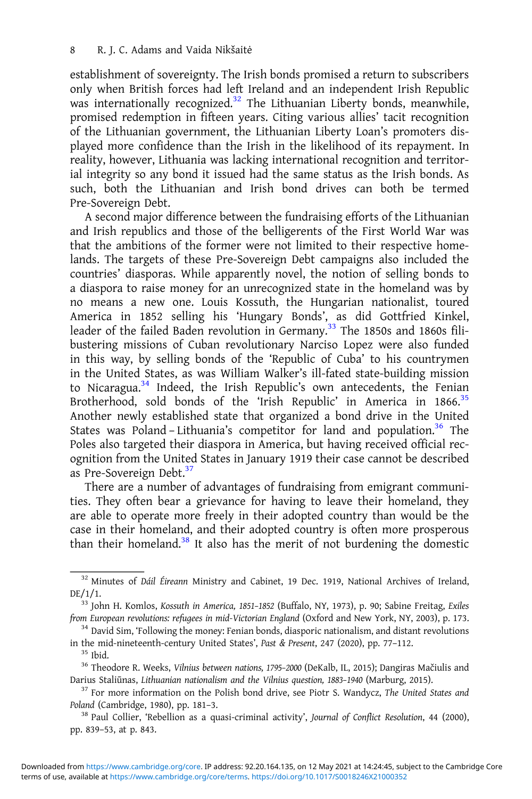establishment of sovereignty. The Irish bonds promised a return to subscribers only when British forces had left Ireland and an independent Irish Republic was internationally recognized.<sup>32</sup> The Lithuanian Liberty bonds, meanwhile, promised redemption in fifteen years. Citing various allies' tacit recognition of the Lithuanian government, the Lithuanian Liberty Loan's promoters displayed more confidence than the Irish in the likelihood of its repayment. In reality, however, Lithuania was lacking international recognition and territorial integrity so any bond it issued had the same status as the Irish bonds. As such, both the Lithuanian and Irish bond drives can both be termed Pre-Sovereign Debt.

A second major difference between the fundraising efforts of the Lithuanian and Irish republics and those of the belligerents of the First World War was that the ambitions of the former were not limited to their respective homelands. The targets of these Pre-Sovereign Debt campaigns also included the countries' diasporas. While apparently novel, the notion of selling bonds to a diaspora to raise money for an unrecognized state in the homeland was by no means a new one. Louis Kossuth, the Hungarian nationalist, toured America in 1852 selling his 'Hungary Bonds', as did Gottfried Kinkel, leader of the failed Baden revolution in Germany.<sup>33</sup> The 1850s and 1860s filibustering missions of Cuban revolutionary Narciso Lopez were also funded in this way, by selling bonds of the 'Republic of Cuba' to his countrymen in the United States, as was William Walker's ill-fated state-building mission to Nicaragua. $34$  Indeed, the Irish Republic's own antecedents, the Fenian Brotherhood, sold bonds of the 'Irish Republic' in America in 1866.<sup>35</sup> Another newly established state that organized a bond drive in the United States was Poland – Lithuania's competitor for land and population.<sup>36</sup> The Poles also targeted their diaspora in America, but having received official recognition from the United States in January 1919 their case cannot be described as Pre-Sovereign Debt.<sup>37</sup>

There are a number of advantages of fundraising from emigrant communities. They often bear a grievance for having to leave their homeland, they are able to operate more freely in their adopted country than would be the case in their homeland, and their adopted country is often more prosperous than their homeland. $38$  It also has the merit of not burdening the domestic

Darius Staliūnas, Lithuanian nationalism and the Vilnius question, 1883-1940 (Marburg, 2015).<br><sup>37</sup> For more information on the Polish bond drive, see Piotr S. Wandycz, The United States and

Poland (Cambridge, 1980), pp. 181–3.<br><sup>38</sup> Paul Collier, 'Rebellion as a quasi-criminal activity', Journal of Conflict Resolution, 44 (2000),

pp. 839–53, at p. 843.

 $32$  Minutes of Dáil Éireann Ministry and Cabinet, 19 Dec. 1919, National Archives of Ireland,

DE/1/1.<br><sup>33</sup> John H. Komlos, *Kossuth in America, 1851-1852* (Buffalo, NY, 1973), p. 90; Sabine Freitag, *Exiles*<br>from European revolutions: refugees in mid-Victorian England (Oxford and New York, NY, 2003), p. 173.

 $34$  David Sim, 'Following the money: Fenian bonds, diasporic nationalism, and distant revolutions in the mid-nineteenth-century United States', Past & Present, 247 (2020), pp. 77–112.<br><sup>35</sup> Ibid. 36 Theodore R. Weeks, *Vilnius between nations*, 1795–2000 (DeKalb, IL, 2015); Dangiras Mačiulis and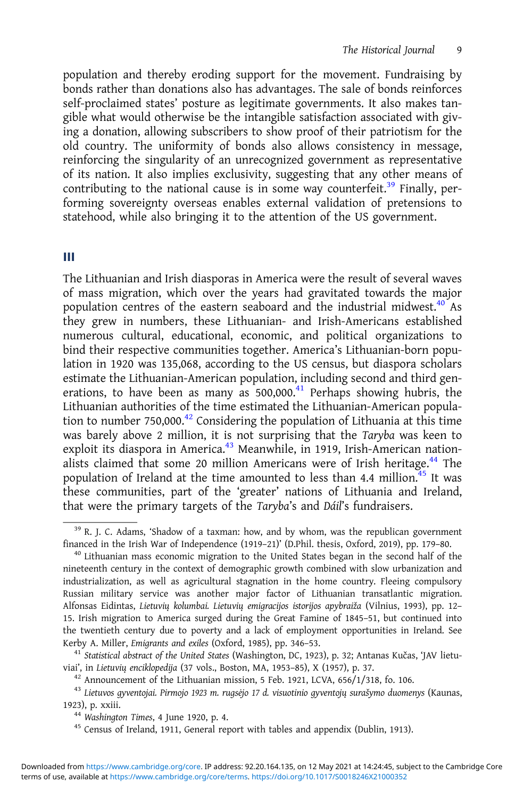population and thereby eroding support for the movement. Fundraising by bonds rather than donations also has advantages. The sale of bonds reinforces self-proclaimed states' posture as legitimate governments. It also makes tangible what would otherwise be the intangible satisfaction associated with giving a donation, allowing subscribers to show proof of their patriotism for the old country. The uniformity of bonds also allows consistency in message, reinforcing the singularity of an unrecognized government as representative of its nation. It also implies exclusivity, suggesting that any other means of contributing to the national cause is in some way counterfeit.<sup>39</sup> Finally, performing sovereignty overseas enables external validation of pretensions to statehood, while also bringing it to the attention of the US government.

#### III

The Lithuanian and Irish diasporas in America were the result of several waves of mass migration, which over the years had gravitated towards the major population centres of the eastern seaboard and the industrial midwest.<sup>40</sup> As they grew in numbers, these Lithuanian- and Irish-Americans established numerous cultural, educational, economic, and political organizations to bind their respective communities together. America's Lithuanian-born population in 1920 was 135,068, according to the US census, but diaspora scholars estimate the Lithuanian-American population, including second and third generations, to have been as many as  $500,000.<sup>41</sup>$  Perhaps showing hubris, the Lithuanian authorities of the time estimated the Lithuanian-American population to number 750,000.<sup>42</sup> Considering the population of Lithuania at this time was barely above 2 million, it is not surprising that the Taryba was keen to exploit its diaspora in America.<sup>43</sup> Meanwhile, in 1919, Irish-American nationalists claimed that some 20 million Americans were of Irish heritage.<sup>44</sup> The population of Ireland at the time amounted to less than 4.4 million.<sup>45</sup> It was these communities, part of the 'greater' nations of Lithuania and Ireland, that were the primary targets of the Taryba's and Dáil's fundraisers.

Kerby A. Miller, Emigrants and exiles (Oxford, 1985), pp. 346–53.<br><sup>41</sup> Statistical abstract of the United States (Washington, DC, 1923), p. 32; Antanas Kučas, 'JAV lietu-<br>viai', in Lietuvių enciklopedija (37 vols., Boston,

 $42$  Announcement of the Lithuanian mission, 5 Feb. 1921, LCVA, 656/1/318, fo. 106.<br> $43$  Lietuvos gyventojai. Pirmojo 1923 m. rugsėjo 17 d. visuotinio gyventojų surašymo duomenys (Kaunas, 1923), p. xxiii.  $^{44}$  Washington Times, 4 June 1920, p. 4.  $^{45}$  Census of Ireland, 1911, General report with tables and appendix (Dublin, 1913).

 $39$  R. J. C. Adams, 'Shadow of a taxman: how, and by whom, was the republican government financed in the Irish War of Independence (1919–21)' (D.Phil. thesis, Oxford, 2019), pp. 179–80.

 $40$  Lithuanian mass economic migration to the United States began in the second half of the nineteenth century in the context of demographic growth combined with slow urbanization and industrialization, as well as agricultural stagnation in the home country. Fleeing compulsory Russian military service was another major factor of Lithuanian transatlantic migration. Alfonsas Eidintas, Lietuvių kolumbai. Lietuvių emigracijos istorijos apybraiža (Vilnius, 1993), pp. 12– 15. Irish migration to America surged during the Great Famine of 1845–51, but continued into the twentieth century due to poverty and a lack of employment opportunities in Ireland. See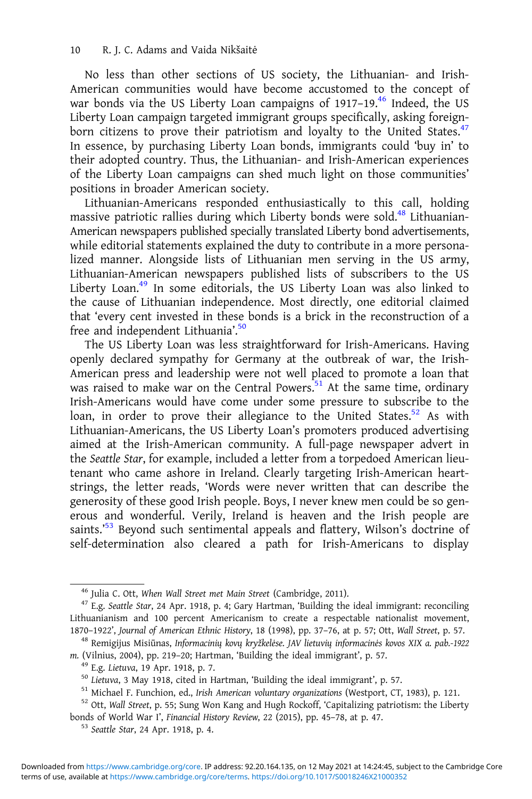No less than other sections of US society, the Lithuanian- and Irish-American communities would have become accustomed to the concept of war bonds via the US Liberty Loan campaigns of 1917-19.<sup>46</sup> Indeed, the US Liberty Loan campaign targeted immigrant groups specifically, asking foreignborn citizens to prove their patriotism and loyalty to the United States.<sup>47</sup> In essence, by purchasing Liberty Loan bonds, immigrants could 'buy in' to their adopted country. Thus, the Lithuanian- and Irish-American experiences of the Liberty Loan campaigns can shed much light on those communities' positions in broader American society.

Lithuanian-Americans responded enthusiastically to this call, holding massive patriotic rallies during which Liberty bonds were sold.<sup>48</sup> Lithuanian-American newspapers published specially translated Liberty bond advertisements, while editorial statements explained the duty to contribute in a more personalized manner. Alongside lists of Lithuanian men serving in the US army, Lithuanian-American newspapers published lists of subscribers to the US Liberty Loan.<sup>49</sup> In some editorials, the US Liberty Loan was also linked to the cause of Lithuanian independence. Most directly, one editorial claimed that 'every cent invested in these bonds is a brick in the reconstruction of a free and independent Lithuania'.<sup>50</sup>

The US Liberty Loan was less straightforward for Irish-Americans. Having openly declared sympathy for Germany at the outbreak of war, the Irish-American press and leadership were not well placed to promote a loan that was raised to make war on the Central Powers.<sup>51</sup> At the same time, ordinary Irish-Americans would have come under some pressure to subscribe to the loan, in order to prove their allegiance to the United States.<sup>52</sup> As with Lithuanian-Americans, the US Liberty Loan's promoters produced advertising aimed at the Irish-American community. A full-page newspaper advert in the Seattle Star, for example, included a letter from a torpedoed American lieutenant who came ashore in Ireland. Clearly targeting Irish-American heartstrings, the letter reads, 'Words were never written that can describe the generosity of these good Irish people. Boys, I never knew men could be so generous and wonderful. Verily, Ireland is heaven and the Irish people are saints.' <sup>53</sup> Beyond such sentimental appeals and flattery, Wilson's doctrine of self-determination also cleared a path for Irish-Americans to display

<sup>&</sup>lt;sup>46</sup> Julia C. Ott, When Wall Street met Main Street (Cambridge, 2011).<br><sup>47</sup> E.g. Seattle Star, 24 Apr. 1918, p. 4; Gary Hartman, 'Building the ideal immigrant: reconciling Lithuanianism and 100 percent Americanism to create a respectable nationalist movement, 1870-1922', Journal of American Ethnic History, 18 (1998), pp. 37-76, at p. 57; Ott, Wall Street, p. 57.

<sup>&</sup>lt;sup>48</sup> Remigijus Misiūnas, Informacinių kovų kryžkelėse. JAV lietuvių informacinės kovos XIX a. pab.-1922 m. (Vilnius, 2004), pp. 219–20; Hartman, 'Building the ideal immigrant', p. 57.<br><sup>49</sup> E.g. *Lietuva*, 19 Apr. 1918, p. 7.<br><sup>50</sup> *Lietuva*, 3 May 1918, cited in Hartman, 'Building the ideal immigrant', p. 57.<br><sup>51</sup> Michael F.

bonds of World War I', Financial History Review, 22 (2015), pp. 45-78, at p. 47.<br><sup>53</sup> Seattle Star, 24 Apr. 1918, p. 4.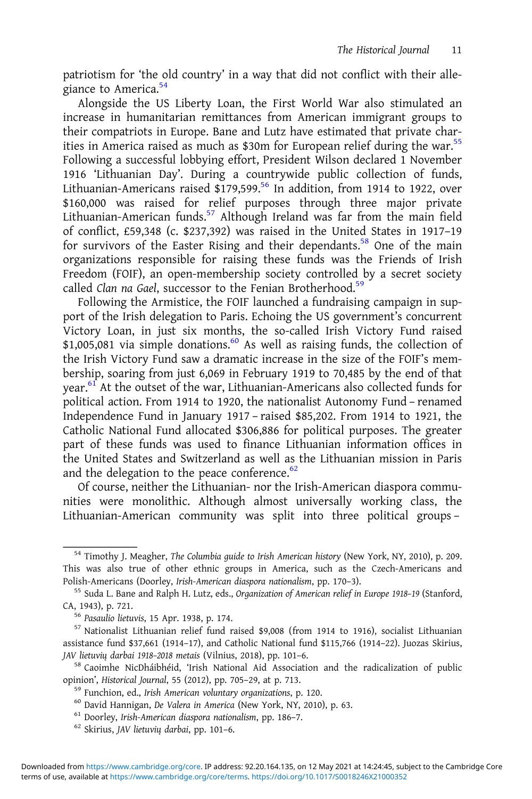patriotism for 'the old country' in a way that did not conflict with their allegiance to America.<sup>54</sup>

Alongside the US Liberty Loan, the First World War also stimulated an increase in humanitarian remittances from American immigrant groups to their compatriots in Europe. Bane and Lutz have estimated that private charities in America raised as much as \$30m for European relief during the war.<sup>55</sup> Following a successful lobbying effort, President Wilson declared 1 November 1916 'Lithuanian Day'. During a countrywide public collection of funds, Lithuanian-Americans raised  $$179,599$ .<sup>56</sup> In addition, from 1914 to 1922, over \$160,000 was raised for relief purposes through three major private Lithuanian-American funds.<sup>57</sup> Although Ireland was far from the main field of conflict, £59,348 (c. \$237,392) was raised in the United States in 1917–19 for survivors of the Easter Rising and their dependants.<sup>58</sup> One of the main organizations responsible for raising these funds was the Friends of Irish Freedom (FOIF), an open-membership society controlled by a secret society called Clan na Gael, successor to the Fenian Brotherhood.<sup>59</sup>

Following the Armistice, the FOIF launched a fundraising campaign in support of the Irish delegation to Paris. Echoing the US government's concurrent Victory Loan, in just six months, the so-called Irish Victory Fund raised \$1,005,081 via simple donations.<sup>60</sup> As well as raising funds, the collection of the Irish Victory Fund saw a dramatic increase in the size of the FOIF's membership, soaring from just 6,069 in February 1919 to 70,485 by the end of that year.<sup>61</sup> At the outset of the war, Lithuanian-Americans also collected funds for political action. From 1914 to 1920, the nationalist Autonomy Fund – renamed Independence Fund in January 1917 – raised \$85,202. From 1914 to 1921, the Catholic National Fund allocated \$306,886 for political purposes. The greater part of these funds was used to finance Lithuanian information offices in the United States and Switzerland as well as the Lithuanian mission in Paris and the delegation to the peace conference. $62$ 

Of course, neither the Lithuanian- nor the Irish-American diaspora communities were monolithic. Although almost universally working class, the Lithuanian-American community was split into three political groups –

<sup>&</sup>lt;sup>54</sup> Timothy J. Meagher, The Columbia guide to Irish American history (New York, NY, 2010), p. 209. This was also true of other ethnic groups in America, such as the Czech-Americans and Polish-Americans (Doorley, Irish-American diaspora nationalism, pp. 170–3).

<sup>&</sup>lt;sup>55</sup> Suda L. Bane and Ralph H. Lutz, eds., *Organization of American relief in Europe 1918-19* (Stanford, CA, 1943), p. 721.

<sup>&</sup>lt;sup>56</sup> Pasaulio lietuvis, 15 Apr. 1938, p. 174.<br><sup>57</sup> Nationalist Lithuanian relief fund raised \$9,008 (from 1914 to 1916), socialist Lithuanian assistance fund \$37,661 (1914–17), and Catholic National fund \$115,766 (1914–22). Juozas Skirius, JAV lietuvių darbai 1918-2018 metais (Vilnius, 2018), pp. 101-6.<br><sup>58</sup> Caoimhe NicDháibhéid, 'Irish National Aid Association and the radicalization of public

opinion', *Historical Journal*, 55 (2012), pp. 705–29, at p. 713.<br><sup>59</sup> Funchion, ed., *Irish American voluntary organizations*, p. 120.<br><sup>60</sup> David Hannigan, *De Valera in America* (New York, NY, 2010), p. 63.<br><sup>61</sup> Doorley,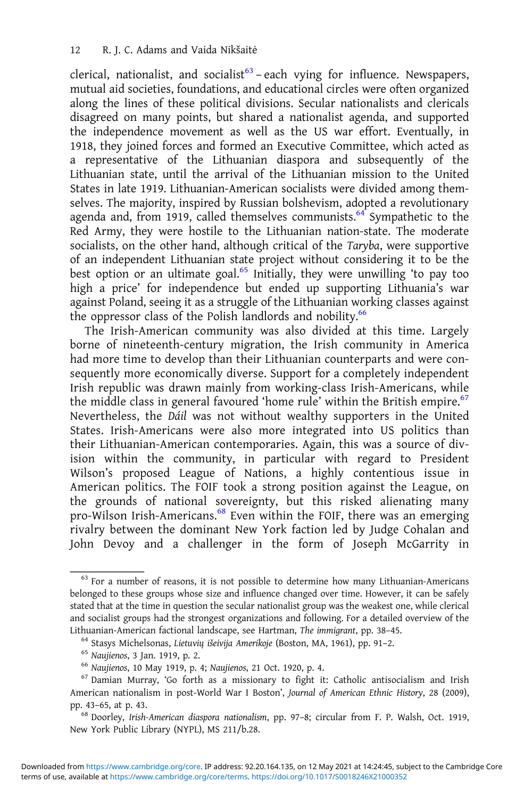clerical, nationalist, and socialist<sup>63</sup> – each vying for influence. Newspapers, mutual aid societies, foundations, and educational circles were often organized along the lines of these political divisions. Secular nationalists and clericals disagreed on many points, but shared a nationalist agenda, and supported the independence movement as well as the US war effort. Eventually, in 1918, they joined forces and formed an Executive Committee, which acted as a representative of the Lithuanian diaspora and subsequently of the Lithuanian state, until the arrival of the Lithuanian mission to the United States in late 1919. Lithuanian-American socialists were divided among themselves. The majority, inspired by Russian bolshevism, adopted a revolutionary agenda and, from 1919, called themselves communists. $64^{\circ}$  Sympathetic to the Red Army, they were hostile to the Lithuanian nation-state. The moderate socialists, on the other hand, although critical of the Taryba, were supportive of an independent Lithuanian state project without considering it to be the best option or an ultimate goal.<sup>65</sup> Initially, they were unwilling 'to pay too high a price' for independence but ended up supporting Lithuania's war against Poland, seeing it as a struggle of the Lithuanian working classes against the oppressor class of the Polish landlords and nobility.<sup>66</sup>

The Irish-American community was also divided at this time. Largely borne of nineteenth-century migration, the Irish community in America had more time to develop than their Lithuanian counterparts and were consequently more economically diverse. Support for a completely independent Irish republic was drawn mainly from working-class Irish-Americans, while the middle class in general favoured 'home rule' within the British empire.<sup>67</sup> Nevertheless, the Dáil was not without wealthy supporters in the United States. Irish-Americans were also more integrated into US politics than their Lithuanian-American contemporaries. Again, this was a source of division within the community, in particular with regard to President Wilson's proposed League of Nations, a highly contentious issue in American politics. The FOIF took a strong position against the League, on the grounds of national sovereignty, but this risked alienating many pro-Wilson Irish-Americans.<sup>68</sup> Even within the FOIF, there was an emerging rivalry between the dominant New York faction led by Judge Cohalan and John Devoy and a challenger in the form of Joseph McGarrity in

 $63$  For a number of reasons, it is not possible to determine how many Lithuanian-Americans belonged to these groups whose size and influence changed over time. However, it can be safely stated that at the time in question the secular nationalist group was the weakest one, while clerical and socialist groups had the strongest organizations and following. For a detailed overview of the Lithuanian-American factional landscape, see Hartman, *The immigrant*, pp. 38–45.<br><sup>64</sup> Stasys Michelsonas, *Lietuvių išeivija Amerikoje* (Boston, MA, 1961), pp. 91–2.<br><sup>65</sup> Naujienos, 3 Jan. 1919, p. 2.<br><sup>66</sup> Naujienos, 10

American nationalism in post-World War I Boston', Journal of American Ethnic History, 28 (2009), pp. 43–65, at p. 43. <sup>68</sup> Doorley, Irish-American diaspora nationalism, pp. 97–8; circular from F. P. Walsh, Oct. 1919,

New York Public Library (NYPL), MS 211/b.28.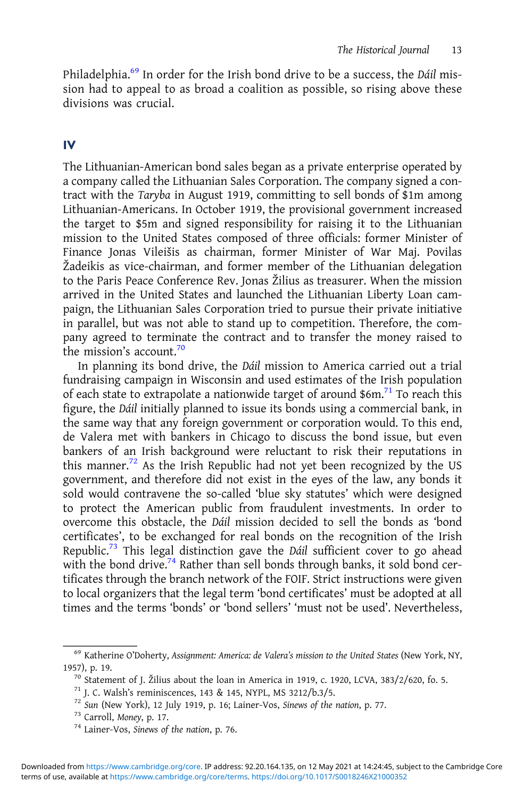Philadelphia.<sup>69</sup> In order for the Irish bond drive to be a success, the Dáil mission had to appeal to as broad a coalition as possible, so rising above these divisions was crucial.

## IV

The Lithuanian-American bond sales began as a private enterprise operated by a company called the Lithuanian Sales Corporation. The company signed a contract with the Taryba in August 1919, committing to sell bonds of \$1m among Lithuanian-Americans. In October 1919, the provisional government increased the target to \$5m and signed responsibility for raising it to the Lithuanian mission to the United States composed of three officials: former Minister of Finance Jonas Vileišis as chairman, former Minister of War Maj. Povilas Žadeikis as vice-chairman, and former member of the Lithuanian delegation to the Paris Peace Conference Rev. Jonas Žilius as treasurer. When the mission arrived in the United States and launched the Lithuanian Liberty Loan campaign, the Lithuanian Sales Corporation tried to pursue their private initiative in parallel, but was not able to stand up to competition. Therefore, the company agreed to terminate the contract and to transfer the money raised to the mission's account.<sup>70</sup>

In planning its bond drive, the Dáil mission to America carried out a trial fundraising campaign in Wisconsin and used estimates of the Irish population of each state to extrapolate a nationwide target of around \$6m.71 To reach this figure, the Dáil initially planned to issue its bonds using a commercial bank, in the same way that any foreign government or corporation would. To this end, de Valera met with bankers in Chicago to discuss the bond issue, but even bankers of an Irish background were reluctant to risk their reputations in this manner.<sup>72</sup> As the Irish Republic had not yet been recognized by the US government, and therefore did not exist in the eyes of the law, any bonds it sold would contravene the so-called 'blue sky statutes' which were designed to protect the American public from fraudulent investments. In order to overcome this obstacle, the Dáil mission decided to sell the bonds as 'bond certificates', to be exchanged for real bonds on the recognition of the Irish Republic.<sup>73</sup> This legal distinction gave the *Dáil* sufficient cover to go ahead with the bond drive.<sup>74</sup> Rather than sell bonds through banks, it sold bond certificates through the branch network of the FOIF. Strict instructions were given to local organizers that the legal term 'bond certificates' must be adopted at all times and the terms 'bonds' or 'bond sellers' 'must not be used'. Nevertheless,

<sup>69</sup> Katherine O'Doherty, Assignment: America: de Valera's mission to the United States (New York, NY,

<sup>1957),</sup> p. 19.<br>
<sup>70</sup> Statement of J. Žilius about the loan in America in 1919, c. 1920, LCVA, 383/2/620, fo. 5.<br>
<sup>71</sup> J. C. Walsh's reminiscences, 143 & 145, NYPL, MS 3212/b.3/5.<br>
<sup>72</sup> Sun (New York), 12 July 1919, p. 16;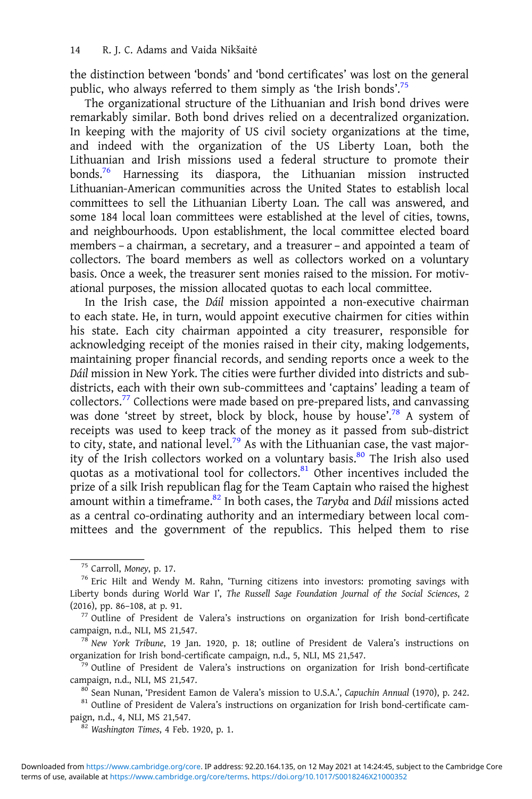the distinction between 'bonds' and 'bond certificates' was lost on the general public, who always referred to them simply as 'the Irish bonds'.<sup>75</sup>

The organizational structure of the Lithuanian and Irish bond drives were remarkably similar. Both bond drives relied on a decentralized organization. In keeping with the majority of US civil society organizations at the time, and indeed with the organization of the US Liberty Loan, both the Lithuanian and Irish missions used a federal structure to promote their bonds.76 Harnessing its diaspora, the Lithuanian mission instructed Lithuanian-American communities across the United States to establish local committees to sell the Lithuanian Liberty Loan. The call was answered, and some 184 local loan committees were established at the level of cities, towns, and neighbourhoods. Upon establishment, the local committee elected board members – a chairman, a secretary, and a treasurer – and appointed a team of collectors. The board members as well as collectors worked on a voluntary basis. Once a week, the treasurer sent monies raised to the mission. For motivational purposes, the mission allocated quotas to each local committee.

In the Irish case, the Dáil mission appointed a non-executive chairman to each state. He, in turn, would appoint executive chairmen for cities within his state. Each city chairman appointed a city treasurer, responsible for acknowledging receipt of the monies raised in their city, making lodgements, maintaining proper financial records, and sending reports once a week to the Dáil mission in New York. The cities were further divided into districts and subdistricts, each with their own sub-committees and 'captains' leading a team of collectors.<sup>77</sup> Collections were made based on pre-prepared lists, and canvassing was done 'street by street, block by block, house by house'.<sup>78</sup> A system of receipts was used to keep track of the money as it passed from sub-district to city, state, and national level.<sup>79</sup> As with the Lithuanian case, the vast majority of the Irish collectors worked on a voluntary basis.<sup>80</sup> The Irish also used quotas as a motivational tool for collectors. $81$  Other incentives included the prize of a silk Irish republican flag for the Team Captain who raised the highest amount within a timeframe. $82$  In both cases, the Taryba and Dáil missions acted as a central co-ordinating authority and an intermediary between local committees and the government of the republics. This helped them to rise

paign, n.d., 4, NLI, MS 21,547. <sup>82</sup> Washington Times, 4 Feb. 1920, p. 1.

<sup>&</sup>lt;sup>75</sup> Carroll, Money, p. 17.<br><sup>76</sup> Eric Hilt and Wendy M. Rahn, 'Turning citizens into investors: promoting savings with Liberty bonds during World War I', The Russell Sage Foundation Journal of the Social Sciences, 2

<sup>(2016),</sup> pp. 86–108, at p. 91.<br>
<sup>77</sup> Outline of President de Valera's instructions on organization for Irish bond-certificate campaign, n.d., NLI, MS 21,547.

<sup>&</sup>lt;sup>78</sup> New York Tribune, 19 Jan. 1920, p. 18; outline of President de Valera's instructions on organization for Irish bond-certificate campaign, n.d., 5, NLI, MS 21,547.

 $\frac{1}{29}$  Outline of President de Valera's instructions on organization for Irish bond-certificate campaign, n.d., NLI, MS 21,547.<br><sup>80</sup> Sean Nunan, 'President Eamon de Valera's mission to U.S.A.', Capuchin Annual (1970), p. 242.<br><sup>81</sup> Outline of President de Valera's instructions on organization for Irish bond-certificat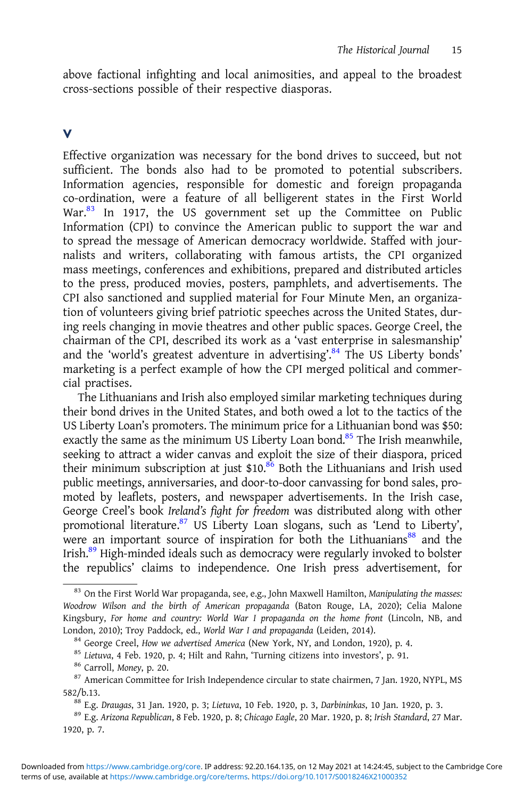above factional infighting and local animosities, and appeal to the broadest cross-sections possible of their respective diasporas.

#### V

Effective organization was necessary for the bond drives to succeed, but not sufficient. The bonds also had to be promoted to potential subscribers. Information agencies, responsible for domestic and foreign propaganda co-ordination, were a feature of all belligerent states in the First World War.<sup>83</sup> In 1917, the US government set up the Committee on Public Information (CPI) to convince the American public to support the war and to spread the message of American democracy worldwide. Staffed with journalists and writers, collaborating with famous artists, the CPI organized mass meetings, conferences and exhibitions, prepared and distributed articles to the press, produced movies, posters, pamphlets, and advertisements. The CPI also sanctioned and supplied material for Four Minute Men, an organization of volunteers giving brief patriotic speeches across the United States, during reels changing in movie theatres and other public spaces. George Creel, the chairman of the CPI, described its work as a 'vast enterprise in salesmanship' and the 'world's greatest adventure in advertising'.<sup>84</sup> The US Liberty bonds' marketing is a perfect example of how the CPI merged political and commercial practises.

The Lithuanians and Irish also employed similar marketing techniques during their bond drives in the United States, and both owed a lot to the tactics of the US Liberty Loan's promoters. The minimum price for a Lithuanian bond was \$50: exactly the same as the minimum US Liberty Loan bond.<sup>85</sup> The Irish meanwhile, seeking to attract a wider canvas and exploit the size of their diaspora, priced their minimum subscription at just \$10.<sup>86</sup> Both the Lithuanians and Irish used public meetings, anniversaries, and door-to-door canvassing for bond sales, promoted by leaflets, posters, and newspaper advertisements. In the Irish case, George Creel's book Ireland's fight for freedom was distributed along with other promotional literature.<sup>87</sup> US Liberty Loan slogans, such as 'Lend to Liberty', were an important source of inspiration for both the Lithuanians<sup>88</sup> and the Irish.<sup>89</sup> High-minded ideals such as democracy were regularly invoked to bolster the republics' claims to independence. One Irish press advertisement, for

<sup>&</sup>lt;sup>83</sup> On the First World War propaganda, see, e.g., John Maxwell Hamilton, Manipulating the masses: Woodrow Wilson and the birth of American propaganda (Baton Rouge, LA, 2020); Celia Malone Kingsbury, For home and country: World War I propaganda on the home front (Lincoln, NB, and London, 2010); Troy Paddock, ed., *World War I and propaganda* (Leiden, 2014).<br><sup>84</sup> George Creel, *How we advertised America* (New York, NY, and London, 1920), p. 4.<br><sup>85</sup> Lietuva, 4 Feb. 1920, p. 4; Hilt and Rahn, "Turning

<sup>582/</sup>b.13.<br><sup>88</sup> E.g. Draugas, 31 Jan. 1920, p. 3; Lietuva, 10 Feb. 1920, p. 3, Darbininkas, 10 Jan. 1920, p. 3.<br><sup>89</sup> E.g. Arizona Republican, 8 Feb. 1920, p. 8; Chicago Eagle, 20 Mar. 1920, p. 8; Irish Standard, 27 Mar.

<sup>1920,</sup> p. 7.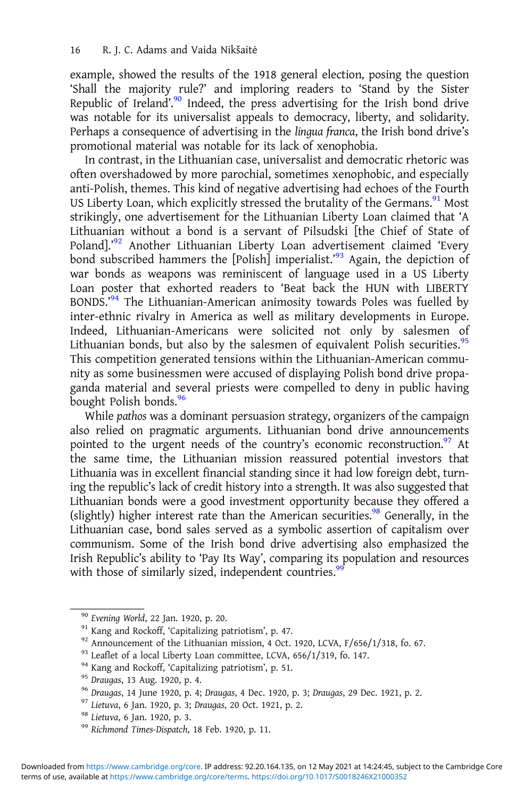example, showed the results of the 1918 general election, posing the question 'Shall the majority rule?' and imploring readers to 'Stand by the Sister Republic of Ireland'.<sup>90</sup> Indeed, the press advertising for the Irish bond drive was notable for its universalist appeals to democracy, liberty, and solidarity. Perhaps a consequence of advertising in the lingua franca, the Irish bond drive's promotional material was notable for its lack of xenophobia.

In contrast, in the Lithuanian case, universalist and democratic rhetoric was often overshadowed by more parochial, sometimes xenophobic, and especially anti-Polish, themes. This kind of negative advertising had echoes of the Fourth US Liberty Loan, which explicitly stressed the brutality of the Germans. $91$  Most strikingly, one advertisement for the Lithuanian Liberty Loan claimed that 'A Lithuanian without a bond is a servant of Pilsudski [the Chief of State of Poland].'<sup>92</sup> Another Lithuanian Liberty Loan advertisement claimed 'Every bond subscribed hammers the [Polish] imperialist.'<sup>93</sup> Again, the depiction of war bonds as weapons was reminiscent of language used in a US Liberty Loan poster that exhorted readers to 'Beat back the HUN with LIBERTY BONDS.'<sup>94</sup> The Lithuanian-American animosity towards Poles was fuelled by inter-ethnic rivalry in America as well as military developments in Europe. Indeed, Lithuanian-Americans were solicited not only by salesmen of Lithuanian bonds, but also by the salesmen of equivalent Polish securities.<sup>95</sup> This competition generated tensions within the Lithuanian-American community as some businessmen were accused of displaying Polish bond drive propaganda material and several priests were compelled to deny in public having bought Polish bonds.<sup>96</sup>

While pathos was a dominant persuasion strategy, organizers of the campaign also relied on pragmatic arguments. Lithuanian bond drive announcements pointed to the urgent needs of the country's economic reconstruction.<sup>97</sup> At the same time, the Lithuanian mission reassured potential investors that Lithuania was in excellent financial standing since it had low foreign debt, turning the republic's lack of credit history into a strength. It was also suggested that Lithuanian bonds were a good investment opportunity because they offered a (slightly) higher interest rate than the American securities.<sup>98</sup> Generally, in the Lithuanian case, bond sales served as a symbolic assertion of capitalism over communism. Some of the Irish bond drive advertising also emphasized the Irish Republic's ability to 'Pay Its Way', comparing its population and resources with those of similarly sized, independent countries.<sup>99</sup>

<sup>&</sup>lt;sup>90</sup> Evening World, 22 Jan. 1920, p. 20.<br>
<sup>91</sup> Kang and Rockoff, 'Capitalizing patriotism', p. 47.<br>
<sup>92</sup> Announcement of the Lithuanian mission, 4 Oct. 1920, LCVA, F/656/1/318, fo. 67.<br>
<sup>93</sup> Leaflet of a local Liberty Loa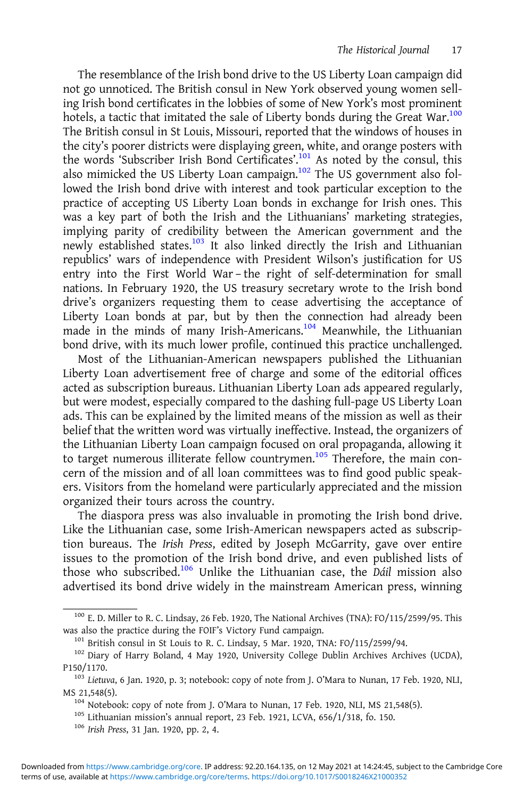The resemblance of the Irish bond drive to the US Liberty Loan campaign did not go unnoticed. The British consul in New York observed young women selling Irish bond certificates in the lobbies of some of New York's most prominent hotels, a tactic that imitated the sale of Liberty bonds during the Great War.<sup>100</sup> The British consul in St Louis, Missouri, reported that the windows of houses in the city's poorer districts were displaying green, white, and orange posters with the words 'Subscriber Irish Bond Certificates'.<sup>101</sup> As noted by the consul, this also mimicked the US Liberty Loan campaign.<sup>102</sup> The US government also followed the Irish bond drive with interest and took particular exception to the practice of accepting US Liberty Loan bonds in exchange for Irish ones. This was a key part of both the Irish and the Lithuanians' marketing strategies, implying parity of credibility between the American government and the newly established states.<sup>103</sup> It also linked directly the Irish and Lithuanian republics' wars of independence with President Wilson's justification for US entry into the First World War – the right of self-determination for small nations. In February 1920, the US treasury secretary wrote to the Irish bond drive's organizers requesting them to cease advertising the acceptance of Liberty Loan bonds at par, but by then the connection had already been made in the minds of many Irish-Americans.<sup>104</sup> Meanwhile, the Lithuanian bond drive, with its much lower profile, continued this practice unchallenged.

Most of the Lithuanian-American newspapers published the Lithuanian Liberty Loan advertisement free of charge and some of the editorial offices acted as subscription bureaus. Lithuanian Liberty Loan ads appeared regularly, but were modest, especially compared to the dashing full-page US Liberty Loan ads. This can be explained by the limited means of the mission as well as their belief that the written word was virtually ineffective. Instead, the organizers of the Lithuanian Liberty Loan campaign focused on oral propaganda, allowing it to target numerous illiterate fellow countrymen.<sup>105</sup> Therefore, the main concern of the mission and of all loan committees was to find good public speakers. Visitors from the homeland were particularly appreciated and the mission organized their tours across the country.

The diaspora press was also invaluable in promoting the Irish bond drive. Like the Lithuanian case, some Irish-American newspapers acted as subscription bureaus. The Irish Press, edited by Joseph McGarrity, gave over entire issues to the promotion of the Irish bond drive, and even published lists of those who subscribed.<sup>106</sup> Unlike the Lithuanian case, the Dáil mission also advertised its bond drive widely in the mainstream American press, winning

<sup>&</sup>lt;sup>100</sup> E. D. Miller to R. C. Lindsay, 26 Feb. 1920, The National Archives (TNA): FO/115/2599/95. This was also the practice during the FOIF's Victory Fund campaign.

 $^{101}$  British consul in St Louis to R. C. Lindsay, 5 Mar. 1920, TNA: FO/115/2599/94.<br> $^{102}$  Diary of Harry Boland, 4 May 1920, University College Dublin Archives Archives (UCDA),

P150/1170. <sup>103</sup> Lietuva, 6 Jan. 1920, p. 3; notebook: copy of note from J. O'Mara to Nunan, 17 Feb. 1920, NLI, MS 21,548(5). <sup>104</sup> Notebook: copy of note from J. O'Mara to Nunan, 17 Feb. 1920, NLI, MS 21,548(5).<br><sup>105</sup> Lithuanian mission's annual report, 23 Feb. 1921, LCVA, 656/1/318, fo. 150.<br><sup>106</sup> Irish Press, 31 Jan. 1920, pp. 2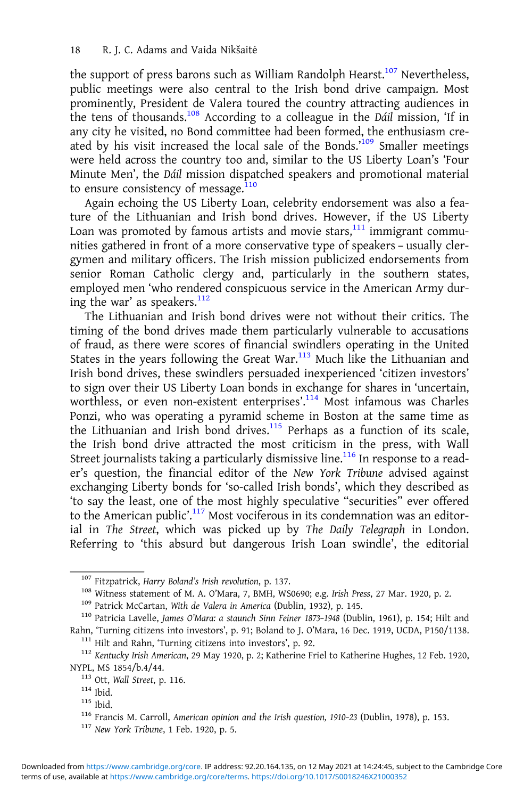the support of press barons such as William Randolph Hearst.<sup>107</sup> Nevertheless, public meetings were also central to the Irish bond drive campaign. Most prominently, President de Valera toured the country attracting audiences in the tens of thousands.108 According to a colleague in the Dáil mission, 'If in any city he visited, no Bond committee had been formed, the enthusiasm created by his visit increased the local sale of the Bonds.<sup>109</sup> Smaller meetings were held across the country too and, similar to the US Liberty Loan's 'Four Minute Men', the Dáil mission dispatched speakers and promotional material to ensure consistency of message.<sup>110</sup>

Again echoing the US Liberty Loan, celebrity endorsement was also a feature of the Lithuanian and Irish bond drives. However, if the US Liberty Loan was promoted by famous artists and movie stars, $111$  immigrant communities gathered in front of a more conservative type of speakers – usually clergymen and military officers. The Irish mission publicized endorsements from senior Roman Catholic clergy and, particularly in the southern states, employed men 'who rendered conspicuous service in the American Army during the war' as speakers.<sup>112</sup>

The Lithuanian and Irish bond drives were not without their critics. The timing of the bond drives made them particularly vulnerable to accusations of fraud, as there were scores of financial swindlers operating in the United States in the years following the Great War. $113$  Much like the Lithuanian and Irish bond drives, these swindlers persuaded inexperienced 'citizen investors' to sign over their US Liberty Loan bonds in exchange for shares in 'uncertain, worthless, or even non-existent enterprises'. <sup>114</sup> Most infamous was Charles Ponzi, who was operating a pyramid scheme in Boston at the same time as the Lithuanian and Irish bond drives.<sup>115</sup> Perhaps as a function of its scale, the Irish bond drive attracted the most criticism in the press, with Wall Street journalists taking a particularly dismissive line.<sup>116</sup> In response to a reader's question, the financial editor of the New York Tribune advised against exchanging Liberty bonds for 'so-called Irish bonds', which they described as 'to say the least, one of the most highly speculative "securities" ever offered to the American public'.<sup>117</sup> Most vociferous in its condemnation was an editorial in The Street, which was picked up by The Daily Telegraph in London. Referring to 'this absurd but dangerous Irish Loan swindle', the editorial

<sup>&</sup>lt;sup>107</sup> Fitzpatrick, *Harry Boland's Irish revolution*, p. 137.<br><sup>108</sup> Witness statement of M. A. O'Mara, 7, BMH, WS0690; e.g. *Irish Press*, 27 Mar. 1920, p. 2.<br><sup>109</sup> Patrick McCartan, *With de Valera in America* (Dublin, 1

<sup>&</sup>lt;sup>111</sup> Hilt and Rahn, 'Turning citizens into investors', p. 92.<br><sup>112</sup> Kentucky Irish American, 29 May 1920, p. 2; Katherine Friel to Katherine Hughes, 12 Feb. 1920,<br>NYPL, MS 1854/b.4/44.

<sup>&</sup>lt;sup>113</sup> Ott, Wall Street, p. 116.<br><sup>114</sup> Ibid. <sup>115</sup> Ibid. 115 Ibid. 116 Francis M. Carroll, *American opinion and the Irish question*, 1910–23 (Dublin, 1978), p. 153.<br><sup>117</sup> New York Tribune, 1 Feb. 1920, p. 5.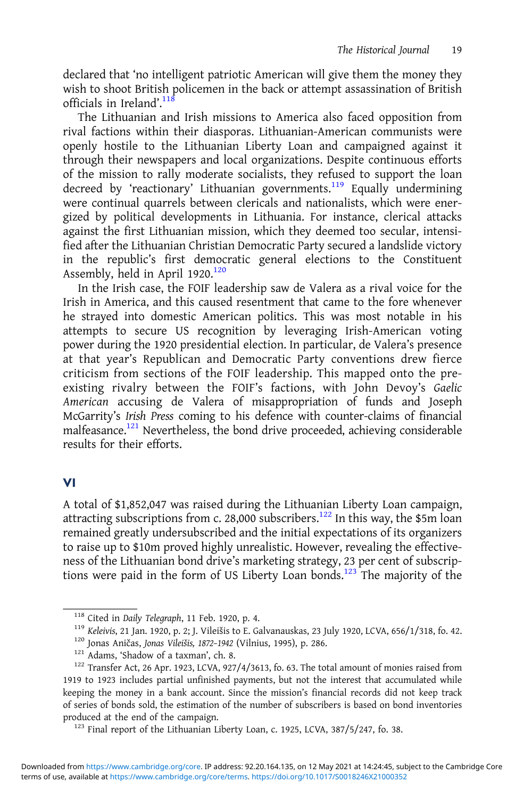declared that 'no intelligent patriotic American will give them the money they wish to shoot British policemen in the back or attempt assassination of British officials in Ireland'.<sup>118</sup>

The Lithuanian and Irish missions to America also faced opposition from rival factions within their diasporas. Lithuanian-American communists were openly hostile to the Lithuanian Liberty Loan and campaigned against it through their newspapers and local organizations. Despite continuous efforts of the mission to rally moderate socialists, they refused to support the loan decreed by 'reactionary' Lithuanian governments.<sup>119</sup> Equally undermining were continual quarrels between clericals and nationalists, which were energized by political developments in Lithuania. For instance, clerical attacks against the first Lithuanian mission, which they deemed too secular, intensified after the Lithuanian Christian Democratic Party secured a landslide victory in the republic's first democratic general elections to the Constituent Assembly, held in April  $1920$ <sup>120</sup>

In the Irish case, the FOIF leadership saw de Valera as a rival voice for the Irish in America, and this caused resentment that came to the fore whenever he strayed into domestic American politics. This was most notable in his attempts to secure US recognition by leveraging Irish-American voting power during the 1920 presidential election. In particular, de Valera's presence at that year's Republican and Democratic Party conventions drew fierce criticism from sections of the FOIF leadership. This mapped onto the preexisting rivalry between the FOIF's factions, with John Devoy's Gaelic American accusing de Valera of misappropriation of funds and Joseph McGarrity's Irish Press coming to his defence with counter-claims of financial malfeasance.121 Nevertheless, the bond drive proceeded, achieving considerable results for their efforts.

## VI

A total of \$1,852,047 was raised during the Lithuanian Liberty Loan campaign, attracting subscriptions from c. 28,000 subscribers.<sup>122</sup> In this way, the \$5m loan remained greatly undersubscribed and the initial expectations of its organizers to raise up to \$10m proved highly unrealistic. However, revealing the effectiveness of the Lithuanian bond drive's marketing strategy, 23 per cent of subscriptions were paid in the form of US Liberty Loan bonds.<sup>123</sup> The majority of the

<sup>&</sup>lt;sup>118</sup> Cited in *Daily Telegraph*, 11 Feb. 1920, p. 4.<br><sup>119</sup> Keleivis, 21 Jan. 1920, p. 2; J. Vileišis to E. Galvanauskas, 23 July 1920, LCVA, 656/1/318, fo. 42.<br><sup>120</sup> Jonas Aničas, *Jonas Vileišis, 1872-1942* (Vilnius, 199

<sup>1919</sup> to 1923 includes partial unfinished payments, but not the interest that accumulated while keeping the money in a bank account. Since the mission's financial records did not keep track of series of bonds sold, the estimation of the number of subscribers is based on bond inventories produced at the end of the campaign.<br><sup>123</sup> Final report of the Lithuanian Liberty Loan, c. 1925, LCVA, 387/5/247, fo. 38.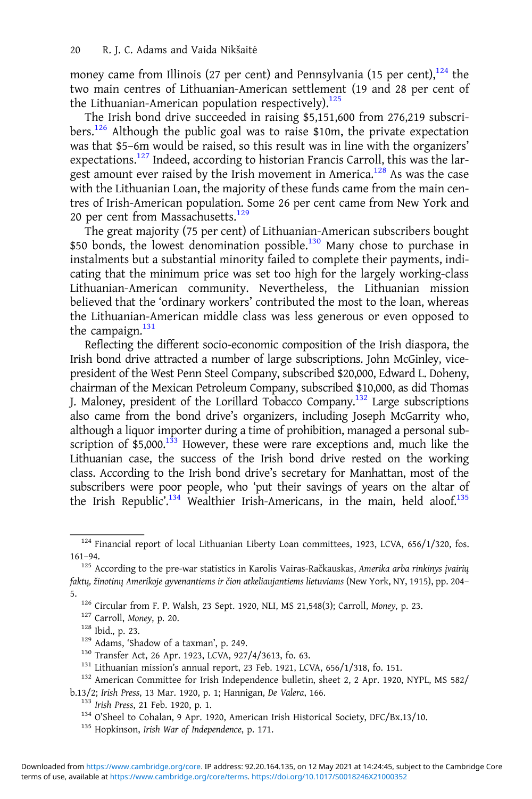money came from Illinois (27 per cent) and Pennsylvania (15 per cent),  $124$  the two main centres of Lithuanian-American settlement (19 and 28 per cent of the Lithuanian-American population respectively). $125$ 

The Irish bond drive succeeded in raising \$5,151,600 from 276,219 subscribers.<sup>126</sup> Although the public goal was to raise \$10m, the private expectation was that \$5–6m would be raised, so this result was in line with the organizers' expectations.<sup>127</sup> Indeed, according to historian Francis Carroll, this was the largest amount ever raised by the Irish movement in America.<sup>128</sup> As was the case with the Lithuanian Loan, the majority of these funds came from the main centres of Irish-American population. Some 26 per cent came from New York and 20 per cent from Massachusetts.<sup>129</sup>

The great majority (75 per cent) of Lithuanian-American subscribers bought \$50 bonds, the lowest denomination possible.<sup>130</sup> Many chose to purchase in instalments but a substantial minority failed to complete their payments, indicating that the minimum price was set too high for the largely working-class Lithuanian-American community. Nevertheless, the Lithuanian mission believed that the 'ordinary workers' contributed the most to the loan, whereas the Lithuanian-American middle class was less generous or even opposed to the campaign. $131$ 

Reflecting the different socio-economic composition of the Irish diaspora, the Irish bond drive attracted a number of large subscriptions. John McGinley, vicepresident of the West Penn Steel Company, subscribed \$20,000, Edward L. Doheny, chairman of the Mexican Petroleum Company, subscribed \$10,000, as did Thomas J. Maloney, president of the Lorillard Tobacco Company.132 Large subscriptions also came from the bond drive's organizers, including Joseph McGarrity who, although a liquor importer during a time of prohibition, managed a personal subscription of  $$5,000.<sup>133</sup>$  However, these were rare exceptions and, much like the Lithuanian case, the success of the Irish bond drive rested on the working class. According to the Irish bond drive's secretary for Manhattan, most of the subscribers were poor people, who 'put their savings of years on the altar of the Irish Republic<sup>', 134</sup> Wealthier Irish-Americans, in the main, held aloof.<sup>135</sup>

- 
- 

- -
- b.13/2; Irish Press, 13 Mar. 1920, p. 1; Hannigan, De Valera, 166.<br> $^{133}$  Irish Press, 21 Feb. 1920, p. 1.<br> $^{134}$  O'Sheel to Cohalan, 9 Apr. 1920, American Irish Historical Society, DFC/Bx.13/10.<br> $^{134}$  O'Sheel to Coha
	-

<sup>&</sup>lt;sup>124</sup> Financial report of local Lithuanian Liberty Loan committees, 1923, LCVA, 656/1/320, fos. 161–94.

<sup>&</sup>lt;sup>125</sup> According to the pre-war statistics in Karolis Vairas-Račkauskas, Amerika arba rinkinys įvairių faktų, žinotinų Amerikoje gyvenantiems ir čion atkeliaujantiems lietuviams (New York, NY, 1915), pp. 204–

<sup>&</sup>lt;sup>126</sup> Circular from F. P. Walsh, 23 Sept. 1920, NLI, MS 21,548(3); Carroll, *Money*, p. 23.<br><sup>127</sup> Carroll, *Money*, p. 20.<br><sup>128</sup> Ibid., p. 23.<br><sup>129</sup> Adams, 'Shadow of a taxman', p. 249.<br><sup>130</sup> Transfer Act, 26 Apr. 1923, L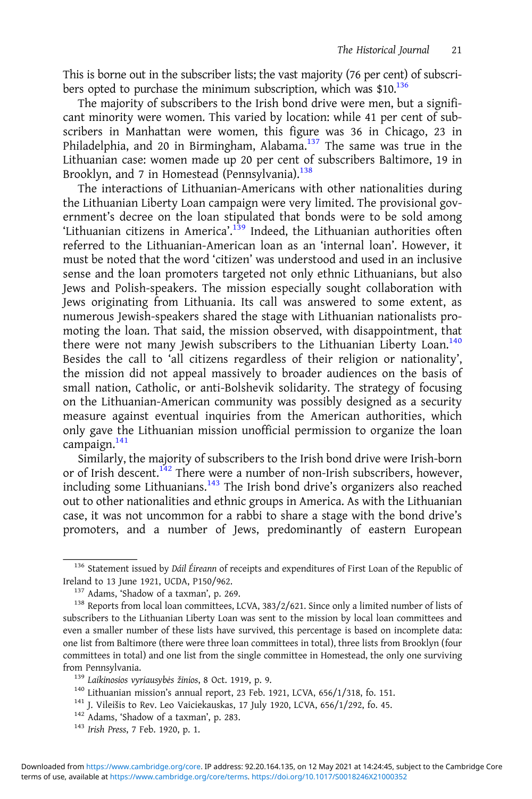This is borne out in the subscriber lists; the vast majority (76 per cent) of subscribers opted to purchase the minimum subscription, which was  $$10.<sup>136</sup>$ 

The majority of subscribers to the Irish bond drive were men, but a significant minority were women. This varied by location: while 41 per cent of subscribers in Manhattan were women, this figure was 36 in Chicago, 23 in Philadelphia, and 20 in Birmingham, Alabama.<sup>137</sup> The same was true in the Lithuanian case: women made up 20 per cent of subscribers Baltimore, 19 in Brooklyn, and 7 in Homestead (Pennsylvania).<sup>138</sup>

The interactions of Lithuanian-Americans with other nationalities during the Lithuanian Liberty Loan campaign were very limited. The provisional government's decree on the loan stipulated that bonds were to be sold among 'Lithuanian citizens in America'. <sup>139</sup> Indeed, the Lithuanian authorities often referred to the Lithuanian-American loan as an 'internal loan'. However, it must be noted that the word 'citizen' was understood and used in an inclusive sense and the loan promoters targeted not only ethnic Lithuanians, but also Jews and Polish-speakers. The mission especially sought collaboration with Jews originating from Lithuania. Its call was answered to some extent, as numerous Jewish-speakers shared the stage with Lithuanian nationalists promoting the loan. That said, the mission observed, with disappointment, that there were not many Jewish subscribers to the Lithuanian Liberty Loan.<sup>140</sup> Besides the call to 'all citizens regardless of their religion or nationality', the mission did not appeal massively to broader audiences on the basis of small nation, Catholic, or anti-Bolshevik solidarity. The strategy of focusing on the Lithuanian-American community was possibly designed as a security measure against eventual inquiries from the American authorities, which only gave the Lithuanian mission unofficial permission to organize the loan campaign.<sup>141</sup>

Similarly, the majority of subscribers to the Irish bond drive were Irish-born or of Irish descent.<sup>142</sup> There were a number of non-Irish subscribers, however, including some Lithuanians. $143$  The Irish bond drive's organizers also reached out to other nationalities and ethnic groups in America. As with the Lithuanian case, it was not uncommon for a rabbi to share a stage with the bond drive's promoters, and a number of Jews, predominantly of eastern European

<sup>&</sup>lt;sup>136</sup> Statement issued by *Dáil Éireann* of receipts and expenditures of First Loan of the Republic of Ireland to 13 June 1921, UCDA, P150/962.

<sup>&</sup>lt;sup>137</sup> Adams, 'Shadow of a taxman', p. 269.<br><sup>138</sup> Reports from local loan committees, LCVA, 383/2/621. Since only a limited number of lists of subscribers to the Lithuanian Liberty Loan was sent to the mission by local loan committees and even a smaller number of these lists have survived, this percentage is based on incomplete data: one list from Baltimore (there were three loan committees in total), three lists from Brooklyn (four committees in total) and one list from the single committee in Homestead, the only one surviving

from Pennsylvania.<br><sup>139</sup> Laikinosios vyriausybės žinios, 8 Oct. 1919, p. 9.<br><sup>140</sup> Lithuanian mission's annual report, 23 Feb. 1921, LCVA, 656/1/318, fo. 151.<br><sup>141</sup> J. Vileišis to Rev. Leo Vaiciekauskas, 17 July 1920, LCVA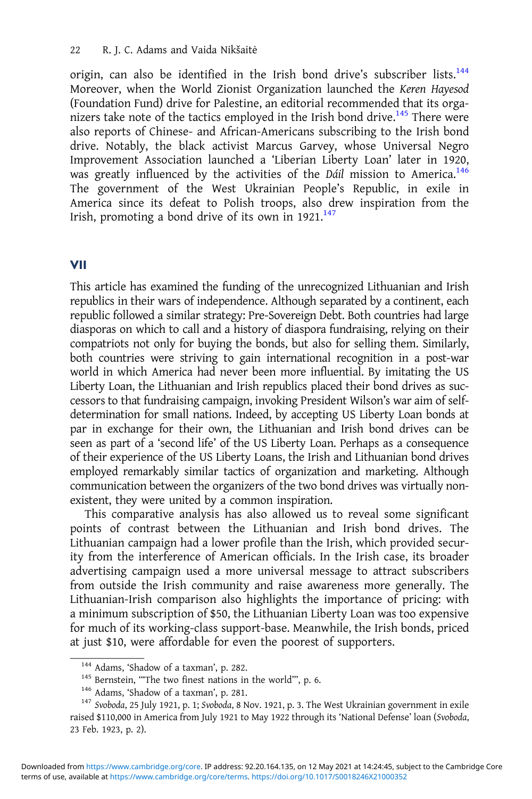origin, can also be identified in the Irish bond drive's subscriber lists.<sup>144</sup> Moreover, when the World Zionist Organization launched the Keren Hayesod (Foundation Fund) drive for Palestine, an editorial recommended that its organizers take note of the tactics employed in the Irish bond drive.<sup>145</sup> There were also reports of Chinese- and African-Americans subscribing to the Irish bond drive. Notably, the black activist Marcus Garvey, whose Universal Negro Improvement Association launched a 'Liberian Liberty Loan' later in 1920, was greatly influenced by the activities of the Dáil mission to America.<sup>146</sup> The government of the West Ukrainian People's Republic, in exile in America since its defeat to Polish troops, also drew inspiration from the Irish, promoting a bond drive of its own in  $1921$ .<sup>147</sup>

#### VII

This article has examined the funding of the unrecognized Lithuanian and Irish republics in their wars of independence. Although separated by a continent, each republic followed a similar strategy: Pre-Sovereign Debt. Both countries had large diasporas on which to call and a history of diaspora fundraising, relying on their compatriots not only for buying the bonds, but also for selling them. Similarly, both countries were striving to gain international recognition in a post-war world in which America had never been more influential. By imitating the US Liberty Loan, the Lithuanian and Irish republics placed their bond drives as successors to that fundraising campaign, invoking President Wilson's war aim of selfdetermination for small nations. Indeed, by accepting US Liberty Loan bonds at par in exchange for their own, the Lithuanian and Irish bond drives can be seen as part of a 'second life' of the US Liberty Loan. Perhaps as a consequence of their experience of the US Liberty Loans, the Irish and Lithuanian bond drives employed remarkably similar tactics of organization and marketing. Although communication between the organizers of the two bond drives was virtually nonexistent, they were united by a common inspiration.

This comparative analysis has also allowed us to reveal some significant points of contrast between the Lithuanian and Irish bond drives. The Lithuanian campaign had a lower profile than the Irish, which provided security from the interference of American officials. In the Irish case, its broader advertising campaign used a more universal message to attract subscribers from outside the Irish community and raise awareness more generally. The Lithuanian-Irish comparison also highlights the importance of pricing: with a minimum subscription of \$50, the Lithuanian Liberty Loan was too expensive for much of its working-class support-base. Meanwhile, the Irish bonds, priced at just \$10, were affordable for even the poorest of supporters.

<sup>&</sup>lt;sup>144</sup> Adams, 'Shadow of a taxman', p. 282.<br><sup>145</sup> Bernstein, "'The two finest nations in the world''', p. 6.<br><sup>146</sup> Adams, 'Shadow of a taxman', p. 281.<br><sup>147</sup> Svoboda, 25 July 1921, p. 1; Svoboda, 8 Nov. 1921, p. 3. The West raised \$110,000 in America from July 1921 to May 1922 through its 'National Defense' loan (Svoboda, 23 Feb. 1923, p. 2).